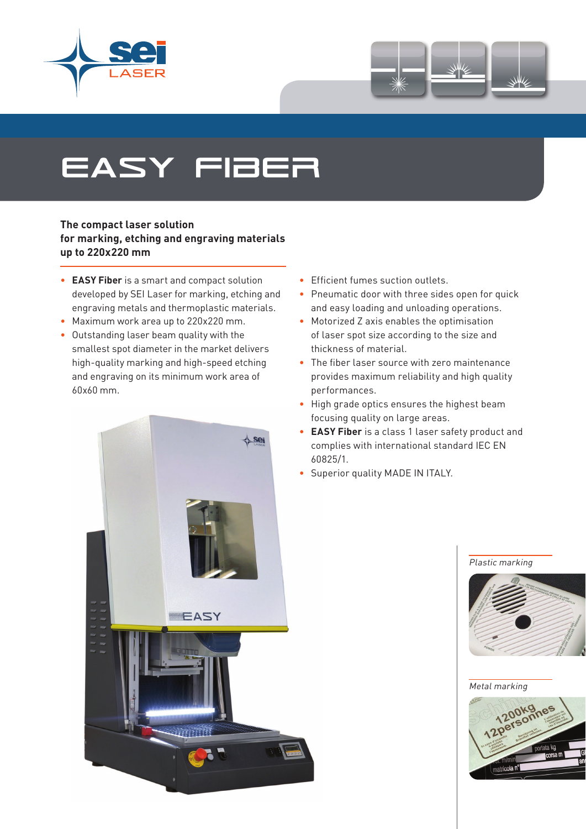



# easy fiber

### **The compact laser solution for marking, etching and engraving materials up to 220x220 mm**

- **EASY Fiber** is a smart and compact solution developed by SEI Laser for marking, etching and engraving metals and thermoplastic materials.
- Maximum work area up to 220x220 mm.
- Outstanding laser beam quality with the smallest spot diameter in the market delivers high-quality marking and high-speed etching and engraving on its minimum work area of 60x60 mm.
	- Sei EEASY
- Efficient fumes suction outlets.
- Pneumatic door with three sides open for quick and easy loading and unloading operations.
- Motorized Z axis enables the optimisation of laser spot size according to the size and thickness of material.
- The fiber laser source with zero maintenance provides maximum reliability and high quality performances.
- High grade optics ensures the highest beam focusing quality on large areas.
- **EASY Fiber** is a class 1 laser safety product and complies with international standard IEC EN 60825/1.
- Superior quality MADE IN ITALY.

#### Plastic marking